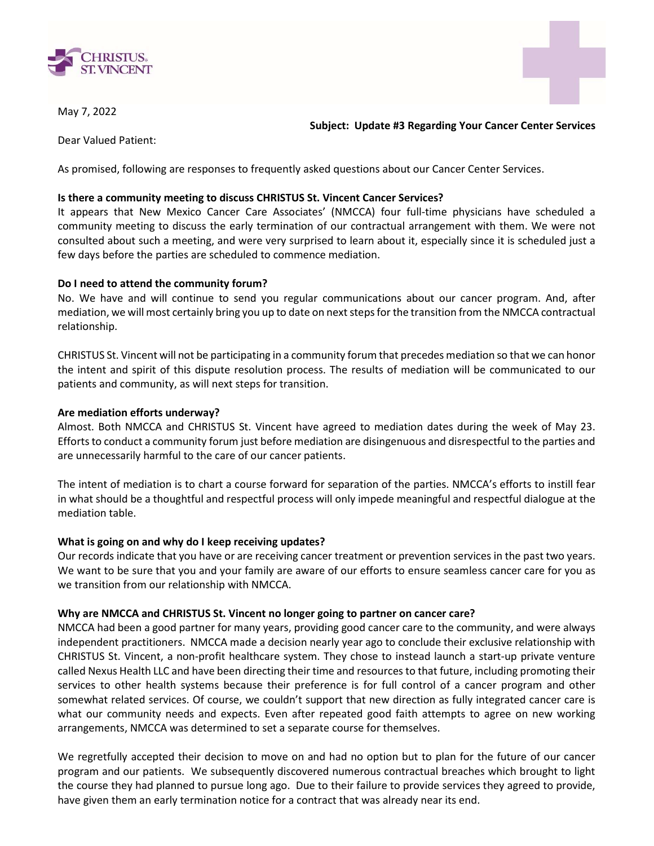



May 7, 2022

Subject: Update #3 Regarding Your Cancer Center Services

Dear Valued Patient:

As promised, following are responses to frequently asked questions about our Cancer Center Services.

# Is there a community meeting to discuss CHRISTUS St. Vincent Cancer Services?

It appears that New Mexico Cancer Care Associates' (NMCCA) four full-time physicians have scheduled a community meeting to discuss the early termination of our contractual arrangement with them. We were not consulted about such a meeting, and were very surprised to learn about it, especially since it is scheduled just a few days before the parties are scheduled to commence mediation.

# Do I need to attend the community forum?

No. We have and will continue to send you regular communications about our cancer program. And, after mediation, we will most certainly bring you up to date on next steps for the transition from the NMCCA contractual relationship.

CHRISTUS St. Vincent will not be participating in a community forum that precedes mediation so that we can honor the intent and spirit of this dispute resolution process. The results of mediation will be communicated to our patients and community, as will next steps for transition.

# Are mediation efforts underway?

Almost. Both NMCCA and CHRISTUS St. Vincent have agreed to mediation dates during the week of May 23. Efforts to conduct a community forum just before mediation are disingenuous and disrespectful to the parties and are unnecessarily harmful to the care of our cancer patients.

The intent of mediation is to chart a course forward for separation of the parties. NMCCA's efforts to instill fear in what should be a thoughtful and respectful process will only impede meaningful and respectful dialogue at the mediation table.

### What is going on and why do I keep receiving updates?

Our records indicate that you have or are receiving cancer treatment or prevention services in the past two years. We want to be sure that you and your family are aware of our efforts to ensure seamless cancer care for you as we transition from our relationship with NMCCA.

### Why are NMCCA and CHRISTUS St. Vincent no longer going to partner on cancer care?

NMCCA had been a good partner for many years, providing good cancer care to the community, and were always independent practitioners. NMCCA made a decision nearly year ago to conclude their exclusive relationship with CHRISTUS St. Vincent, a non-profit healthcare system. They chose to instead launch a start-up private venture called Nexus Health LLC and have been directing their time and resources to that future, including promoting their services to other health systems because their preference is for full control of a cancer program and other somewhat related services. Of course, we couldn't support that new direction as fully integrated cancer care is what our community needs and expects. Even after repeated good faith attempts to agree on new working arrangements, NMCCA was determined to set a separate course for themselves.

We regretfully accepted their decision to move on and had no option but to plan for the future of our cancer program and our patients. We subsequently discovered numerous contractual breaches which brought to light the course they had planned to pursue long ago. Due to their failure to provide services they agreed to provide, have given them an early termination notice for a contract that was already near its end.